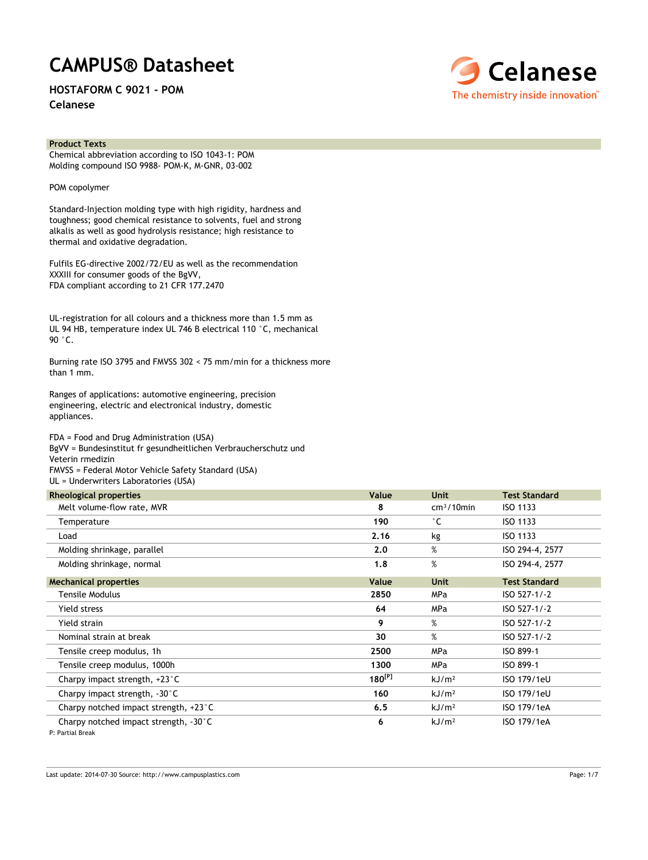# **CAMPUS® Datasheet**

**HOSTAFORM C 9021 - POM**

**Celanese**



### **Product Texts**

Chemical abbreviation according to ISO 1043-1: POM Molding compound ISO 9988- POM-K, M-GNR, 03-002

POM copolymer

Standard-Injection molding type with high rigidity, hardness and toughness; good chemical resistance to solvents, fuel and strong alkalis as well as good hydrolysis resistance; high resistance to thermal and oxidative degradation.

Fulfils EG-directive 2002/72/EU as well as the recommendation XXXIII for consumer goods of the BgVV, FDA compliant according to 21 CFR 177.2470

UL-registration for all colours and a thickness more than 1.5 mm as UL 94 HB, temperature index UL 746 B electrical 110 °C, mechanical 90 °C.

Burning rate ISO 3795 and FMVSS 302 < 75 mm/min for a thickness more than 1 mm.

Ranges of applications: automotive engineering, precision engineering, electric and electronical industry, domestic appliances.

FDA = Food and Drug Administration (USA) BgVV = Bundesinstitut fr gesundheitlichen Verbraucherschutz und Veterin rmedizin FMVSS = Federal Motor Vehicle Safety Standard (USA) UL = Underwriters Laboratories (USA)

| <b>Rheological properties</b>         | Value       | <b>Unit</b>       | <b>Test Standard</b> |
|---------------------------------------|-------------|-------------------|----------------------|
| Melt volume-flow rate, MVR            | 8           | $cm3/10$ min      | ISO 1133             |
| Temperature                           | 190         | $^{\circ}$ C      | ISO 1133             |
| Load                                  | 2.16        | kg                | ISO 1133             |
| Molding shrinkage, parallel           | 2.0         | %                 | ISO 294-4, 2577      |
| Molding shrinkage, normal             | 1.8         | %                 | ISO 294-4, 2577      |
| <b>Mechanical properties</b>          | Value       | <b>Unit</b>       | <b>Test Standard</b> |
| <b>Tensile Modulus</b>                | 2850        | <b>MPa</b>        | ISO 527-1/-2         |
| Yield stress                          | 64          | <b>MPa</b>        | ISO 527-1/-2         |
| Yield strain                          | 9           | %                 | $ISO 527-1/-2$       |
| Nominal strain at break               | 30          | %                 | ISO 527-1/-2         |
| Tensile creep modulus, 1h             | 2500        | <b>MPa</b>        | ISO 899-1            |
| Tensile creep modulus, 1000h          | 1300        | <b>MPa</b>        | ISO 899-1            |
| Charpy impact strength, +23°C         | $180^{[P]}$ | kJ/m <sup>2</sup> | ISO 179/1eU          |
| Charpy impact strength, -30°C         | 160         | kJ/m <sup>2</sup> | ISO 179/1eU          |
| Charpy notched impact strength, +23°C | 6.5         | kJ/m <sup>2</sup> | ISO 179/1eA          |
| Charpy notched impact strength, -30°C | 6           | kJ/m <sup>2</sup> | ISO 179/1eA          |

P: Partial Break

Last update: 2014-07-30 Source: http://www.campusplastics.com Page: 1/7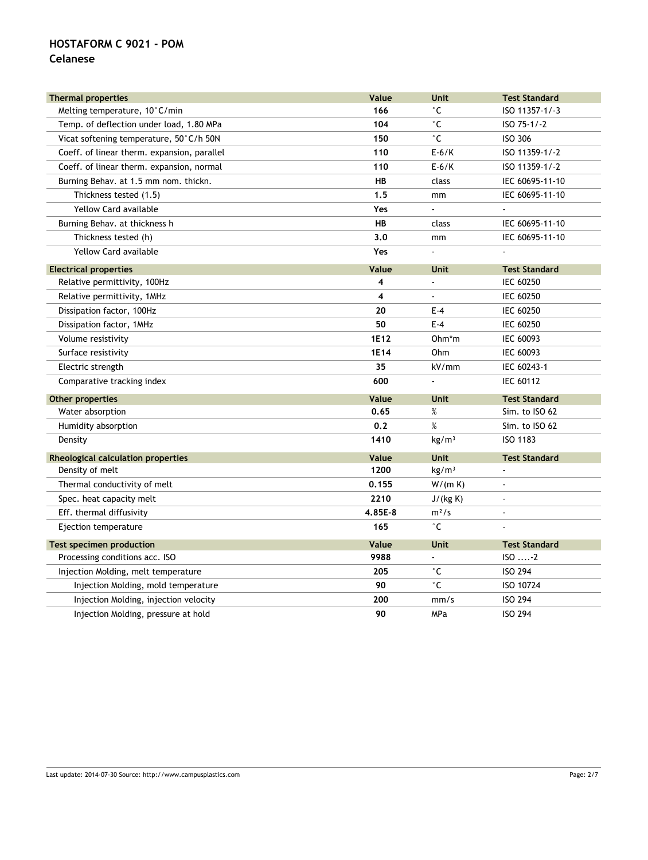### **Celanese**

| <b>Thermal properties</b>                   | Value   | Unit              | <b>Test Standard</b> |
|---------------------------------------------|---------|-------------------|----------------------|
| Melting temperature, 10°C/min               | 166     | °С                | ISO 11357-1/-3       |
| Temp. of deflection under load, 1.80 MPa    | 104     | °С                | ISO 75-1/-2          |
| Vicat softening temperature, 50°C/h 50N     | 150     | °С                | ISO 306              |
| Coeff. of linear therm. expansion, parallel | 110     | $E-6/K$           | ISO 11359-1/-2       |
| Coeff. of linear therm. expansion, normal   | 110     | $E-6/K$           | ISO 11359-1/-2       |
| Burning Behav. at 1.5 mm nom. thickn.       | HB      | class             | IEC 60695-11-10      |
| Thickness tested (1.5)                      | 1.5     | mm                | IEC 60695-11-10      |
| Yellow Card available                       | Yes     | $\overline{a}$    |                      |
| Burning Behav. at thickness h               | HB      | class             | IEC 60695-11-10      |
| Thickness tested (h)                        | 3.0     | mm                | IEC 60695-11-10      |
| <b>Yellow Card available</b>                | Yes     | ä,                |                      |
| <b>Electrical properties</b>                | Value   | <b>Unit</b>       | <b>Test Standard</b> |
| Relative permittivity, 100Hz                | 4       | ÷,                | <b>IEC 60250</b>     |
| Relative permittivity, 1MHz                 | 4       | ÷,                | <b>IEC 60250</b>     |
| Dissipation factor, 100Hz                   | 20      | $E-4$             | <b>IEC 60250</b>     |
| Dissipation factor, 1MHz                    | 50      | $E - 4$           | <b>IEC 60250</b>     |
| Volume resistivity                          | 1E12    | Ohm*m             | IEC 60093            |
| Surface resistivity                         | 1E14    | Ohm               | IEC 60093            |
| Electric strength                           | 35      | kV/mm             | IEC 60243-1          |
| Comparative tracking index                  | 600     | ÷,                | <b>IEC 60112</b>     |
| Other properties                            | Value   | <b>Unit</b>       | <b>Test Standard</b> |
| Water absorption                            | 0.65    | %                 | Sim. to ISO 62       |
| Humidity absorption                         | 0.2     | %                 | Sim. to ISO 62       |
| Density                                     | 1410    | kg/m <sup>3</sup> | ISO 1183             |
| Rheological calculation properties          | Value   | Unit              | <b>Test Standard</b> |
| Density of melt                             | 1200    | kg/m <sup>3</sup> |                      |
| Thermal conductivity of melt                | 0.155   | W/(m K)           |                      |
| Spec. heat capacity melt                    | 2210    | J/(kg K)          |                      |
| Eff. thermal diffusivity                    | 4.85E-8 | $m^2/s$           |                      |
| Ejection temperature                        | 165     | $^{\circ}$ C      |                      |
| Test specimen production                    | Value   | <b>Unit</b>       | <b>Test Standard</b> |
| Processing conditions acc. ISO              | 9988    |                   | ISO2                 |
| Injection Molding, melt temperature         | 205     | ۰c                | <b>ISO 294</b>       |
| Injection Molding, mold temperature         | 90      | $^{\circ}$ C      | ISO 10724            |
| Injection Molding, injection velocity       | 200     | mm/s              | <b>ISO 294</b>       |
| Injection Molding, pressure at hold         | 90      | MPa               | <b>ISO 294</b>       |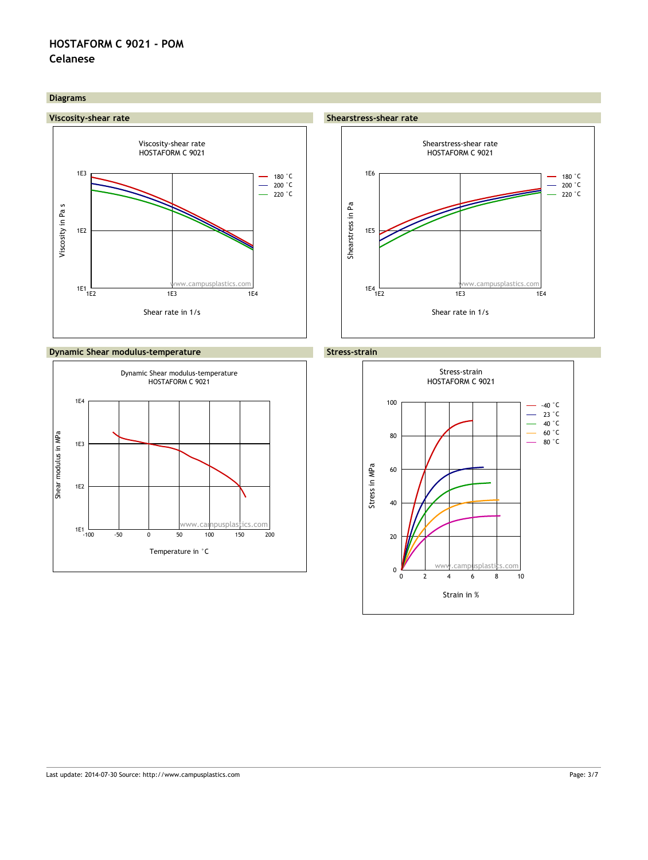### **Celanese**

### **Diagrams**







# www.campusplastics.com Shearstress-shear rate HOSTAFORM C 9021 Shear rate in 1/s Shearstress in Pa 1E2 1E3 1E4  $1E4$ <br> $1E2$ 1E5  $1E6$   $- 180 °C$  $-200$   $°C$ 220 °C



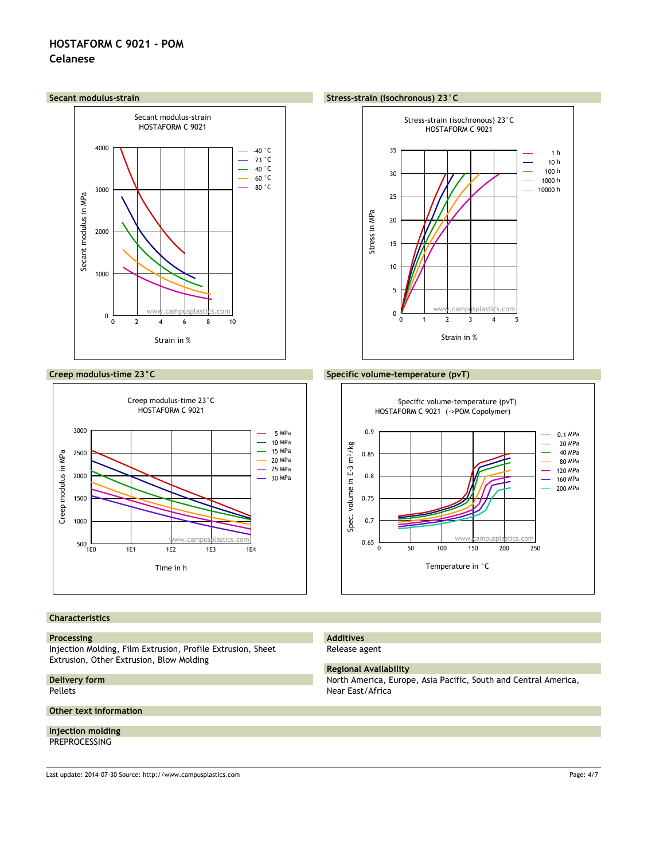



### **Characteristics**

#### **Processing**

Injection Molding, Film Extrusion, Profile Extrusion, Sheet Extrusion, Other Extrusion, Blow Molding

#### **Delivery form** Pellets

#### **Other text information**

**Injection molding**

### PREPROCESSING

Last update: 2014-07-30 Source: http://www.campusplastics.com Page: 4/7

### **Creep modulus-time 23°C Specific volume-temperature (pvT)**



#### **Additives** Release agent

### **Regional Availability**

North America, Europe, Asia Pacific, South and Central America, Near East/Africa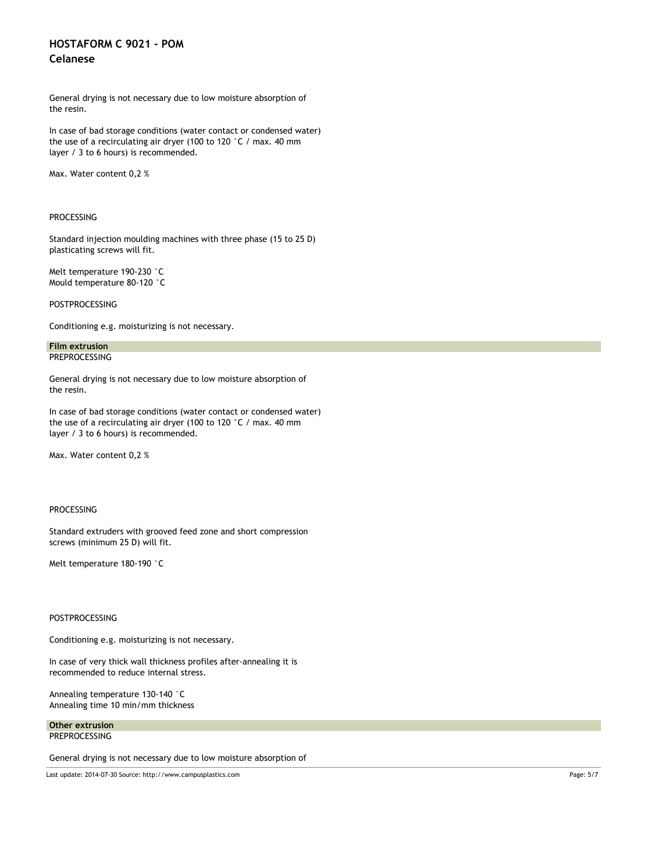### **Celanese**

General drying is not necessary due to low moisture absorption of the resin.

In case of bad storage conditions (water contact or condensed water) the use of a recirculating air dryer (100 to 120 °C / max. 40 mm layer / 3 to 6 hours) is recommended.

Max. Water content 0,2 %

### PROCESSING

Standard injection moulding machines with three phase (15 to 25 D) plasticating screws will fit.

Melt temperature 190-230 °C Mould temperature 80-120 °C

POSTPROCESSING

Conditioning e.g. moisturizing is not necessary.

#### **Film extrusion PREPROCESSING**

General drying is not necessary due to low moisture absorption of the resin.

In case of bad storage conditions (water contact or condensed water) the use of a recirculating air dryer (100 to 120 °C / max. 40 mm layer / 3 to 6 hours) is recommended.

Max. Water content 0,2 %

### PROCESSING

Standard extruders with grooved feed zone and short compression screws (minimum 25 D) will fit.

Melt temperature 180-190 °C

### POSTPROCESSING

Conditioning e.g. moisturizing is not necessary.

In case of very thick wall thickness profiles after-annealing it is recommended to reduce internal stress.

Annealing temperature 130-140 °C Annealing time 10 min/mm thickness

**Other extrusion** PREPROCESSING

General drying is not necessary due to low moisture absorption of

Last update: 2014-07-30 Source: http://www.campusplastics.com Page: 5/7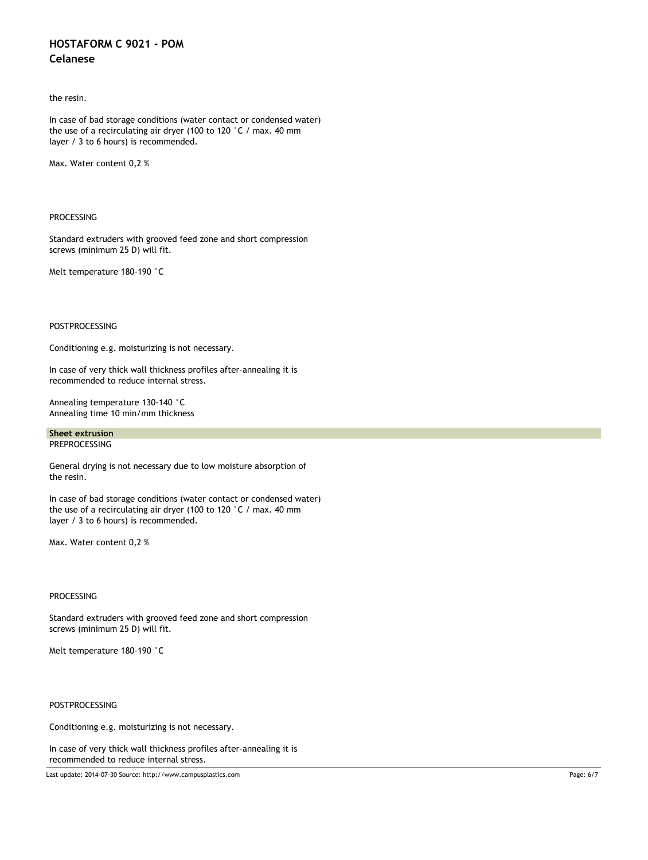## **Celanese**

the resin.

In case of bad storage conditions (water contact or condensed water) the use of a recirculating air dryer (100 to 120 °C / max. 40 mm layer / 3 to 6 hours) is recommended.

Max. Water content 0,2 %

### PROCESSING

Standard extruders with grooved feed zone and short compression screws (minimum 25 D) will fit.

Melt temperature 180-190 °C

### POSTPROCESSING

Conditioning e.g. moisturizing is not necessary.

In case of very thick wall thickness profiles after-annealing it is recommended to reduce internal stress.

Annealing temperature 130-140 °C Annealing time 10 min/mm thickness

### **Sheet extrusion** PREPROCESSING

General drying is not necessary due to low moisture absorption of the resin.

In case of bad storage conditions (water contact or condensed water) the use of a recirculating air dryer (100 to 120 °C / max. 40 mm layer / 3 to 6 hours) is recommended.

Max. Water content 0,2 %

### PROCESSING

Standard extruders with grooved feed zone and short compression screws (minimum 25 D) will fit.

Melt temperature 180-190 °C

### POSTPROCESSING

Conditioning e.g. moisturizing is not necessary.

In case of very thick wall thickness profiles after-annealing it is recommended to reduce internal stress.

Last update: 2014-07-30 Source: http://www.campusplastics.com Page: 6/7